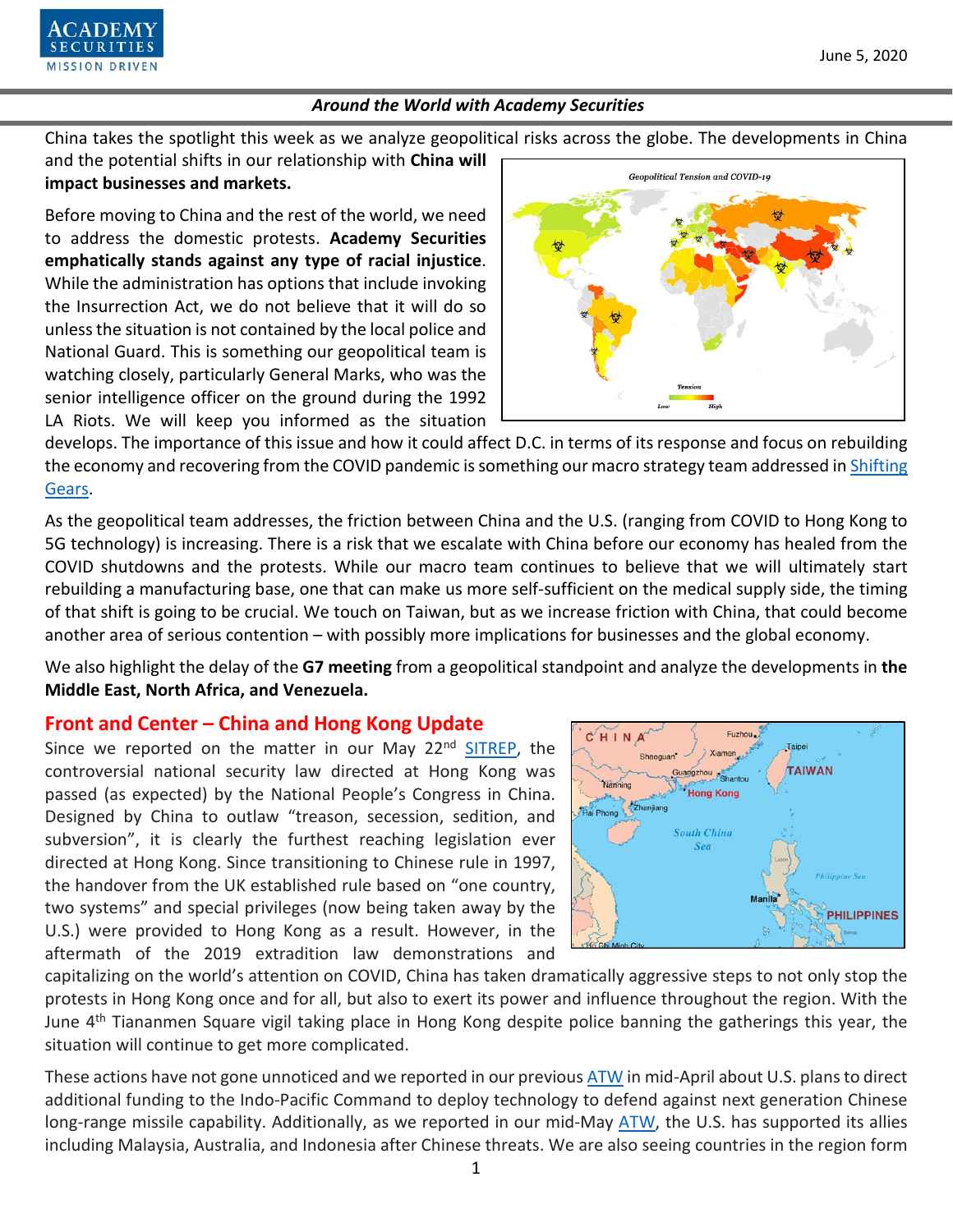June 5, 2020



# *Around the World with Academy Securities*

China takes the spotlight this week as we analyze geopolitical risks across the globe. The developments in China

and the potential shifts in our relationship with **China will impact businesses and markets.**

Before moving to China and the rest of the world, we need to address the domestic protests. **Academy Securities emphatically stands against any type of racial injustice**. While the administration has options that include invoking the Insurrection Act, we do not believe that it will do so unless the situation is not contained by the local police and National Guard. This is something our geopolitical team is watching closely, particularly General Marks, who was the senior intelligence officer on the ground during the 1992 LA Riots. We will keep you informed as the situation



develops. The importance of this issue and how it could affect D.C. in terms of its response and focus on rebuilding the economy and recovering from the COVID pandemic is something our macro strategy team addressed in Shifting [Gears.](https://www.academysecurities.com/wordpress/wp-content/uploads/2020/06/Shifting-Gears.pdf)

As the geopolitical team addresses, the friction between China and the U.S. (ranging from COVID to Hong Kong to 5G technology) is increasing. There is a risk that we escalate with China before our economy has healed from the COVID shutdowns and the protests. While our macro team continues to believe that we will ultimately start rebuilding a manufacturing base, one that can make us more self-sufficient on the medical supply side, the timing of that shift is going to be crucial. We touch on Taiwan, but as we increase friction with China, that could become another area of serious contention – with possibly more implications for businesses and the global economy.

We also highlight the delay of the **G7 meeting** from a geopolitical standpoint and analyze the developments in **the Middle East, North Africa, and Venezuela.**

# **Front and Center – China and Hong Kong Update**

Since we reported on the matter in our May 22<sup>nd</sup> [SITREP,](https://www.academysecurities.com/china-moves-to-pass-hong-kong-national-security-law/) the controversial national security law directed at Hong Kong was passed (as expected) by the National People's Congress in China. Designed by China to outlaw "treason, secession, sedition, and subversion", it is clearly the furthest reaching legislation ever directed at Hong Kong. Since transitioning to Chinese rule in 1997, the handover from the UK established rule based on "one country, two systems" and special privileges (now being taken away by the U.S.) were provided to Hong Kong as a result. However, in the aftermath of the 2019 extradition law demonstrations and



capitalizing on the world's attention on COVID, China has taken dramatically aggressive steps to not only stop the protests in Hong Kong once and for all, but also to exert its power and influence throughout the region. With the June 4<sup>th</sup> Tiananmen Square vigil taking place in Hong Kong despite police banning the gatherings this year, the situation will continue to get more complicated.

These actions have not gone unnoticed and we reported in our previou[s ATW](https://www.academysecurities.com/wordpress/wp-content/uploads/2020/04/Around-the-World-with-Academy-Securities_4-15-20.pdf) in mid-April about U.S. plans to direct additional funding to the Indo-Pacific Command to deploy technology to defend against next generation Chinese long-range missile capability. Additionally, as we reported in our mid-May [ATW,](https://www.academysecurities.com/wordpress/wp-content/uploads/2020/05/Around-the-World-with-Academy-Securities_5-15-20.pdf) the U.S. has supported its allies including Malaysia, Australia, and Indonesia after Chinese threats. We are also seeing countries in the region form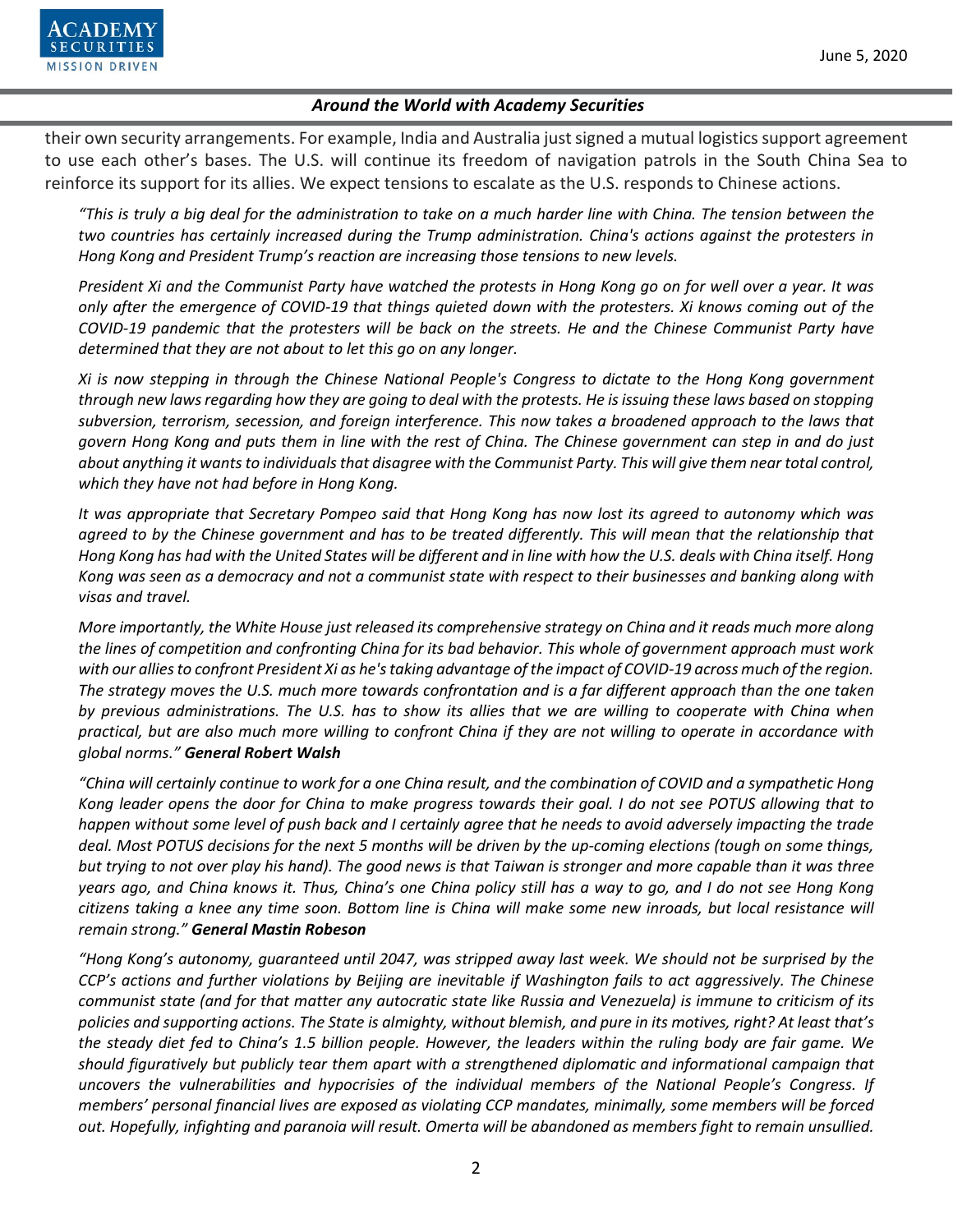

their own security arrangements. For example, India and Australia just signed a mutual logistics support agreement to use each other's bases. The U.S. will continue its freedom of navigation patrols in the South China Sea to reinforce its support for its allies. We expect tensions to escalate as the U.S. responds to Chinese actions.

*"This is truly a big deal for the administration to take on a much harder line with China. The tension between the two countries has certainly increased during the Trump administration. China's actions against the protesters in Hong Kong and President Trump's reaction are increasing those tensions to new levels.*

*President Xi and the Communist Party have watched the protests in Hong Kong go on for well over a year. It was only after the emergence of COVID-19 that things quieted down with the protesters. Xi knows coming out of the COVID-19 pandemic that the protesters will be back on the streets. He and the Chinese Communist Party have determined that they are not about to let this go on any longer.*

*Xi is now stepping in through the Chinese National People's Congress to dictate to the Hong Kong government through new laws regarding how they are going to deal with the protests. He is issuing these laws based on stopping subversion, terrorism, secession, and foreign interference. This now takes a broadened approach to the laws that govern Hong Kong and puts them in line with the rest of China. The Chinese government can step in and do just about anything it wantsto individuals that disagree with the Communist Party. This will give them near total control, which they have not had before in Hong Kong.*

*It was appropriate that Secretary Pompeo said that Hong Kong has now lost its agreed to autonomy which was*  agreed to by the Chinese government and has to be treated differently. This will mean that the relationship that *Hong Kong has had with the United States will be different and in line with how the U.S. deals with China itself. Hong Kong was seen as a democracy and not a communist state with respect to their businesses and banking along with visas and travel.*

*More importantly, the White House just released its comprehensive strategy on China and it reads much more along the lines of competition and confronting China for its bad behavior. This whole of government approach must work with our allies to confront President Xi as he's taking advantage of the impact of COVID-19 across much of the region. The strategy moves the U.S. much more towards confrontation and is a far different approach than the one taken by previous administrations. The U.S. has to show its allies that we are willing to cooperate with China when practical, but are also much more willing to confront China if they are not willing to operate in accordance with global norms." General Robert Walsh*

*"China will certainly continue to work for a one China result, and the combination of COVID and a sympathetic Hong Kong leader opens the door for China to make progress towards their goal. I do not see POTUS allowing that to happen without some level of push back and I certainly agree that he needs to avoid adversely impacting the trade deal. Most POTUS decisions for the next 5 months will be driven by the up-coming elections (tough on some things, but trying to not over play his hand). The good news is that Taiwan is stronger and more capable than it was three years ago, and China knows it. Thus, China's one China policy still has a way to go, and I do not see Hong Kong citizens taking a knee any time soon. Bottom line is China will make some new inroads, but local resistance will remain strong." General Mastin Robeson*

*"Hong Kong's autonomy, guaranteed until 2047, was stripped away last week. We should not be surprised by the CCP's actions and further violations by Beijing are inevitable if Washington fails to act aggressively. The Chinese communist state (and for that matter any autocratic state like Russia and Venezuela) is immune to criticism of its policies and supporting actions. The State is almighty, without blemish, and pure in its motives, right? At least that's the steady diet fed to China's 1.5 billion people. However, the leaders within the ruling body are fair game. We should figuratively but publicly tear them apart with a strengthened diplomatic and informational campaign that uncovers the vulnerabilities and hypocrisies of the individual members of the National People's Congress. If members' personal financial lives are exposed as violating CCP mandates, minimally, some members will be forced out. Hopefully, infighting and paranoia will result. Omerta will be abandoned as members fight to remain unsullied.*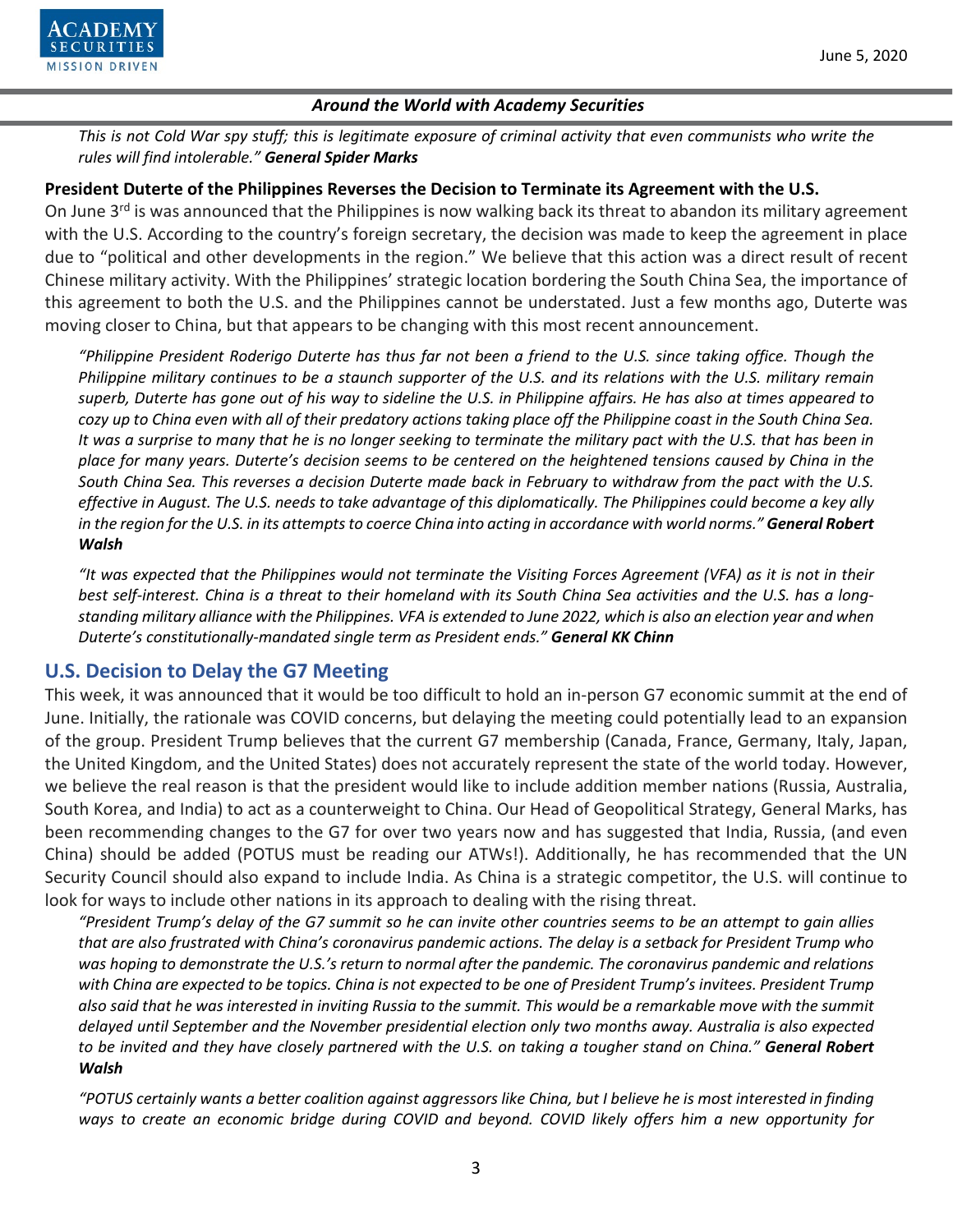

*This is not Cold War spy stuff; this is legitimate exposure of criminal activity that even communists who write the rules will find intolerable." General Spider Marks*

### **President Duterte of the Philippines Reverses the Decision to Terminate its Agreement with the U.S.**

On June 3<sup>rd</sup> is was announced that the Philippines is now walking back its threat to abandon its military agreement with the U.S. According to the country's foreign secretary, the decision was made to keep the agreement in place due to "political and other developments in the region." We believe that this action was a direct result of recent Chinese military activity. With the Philippines' strategic location bordering the South China Sea, the importance of this agreement to both the U.S. and the Philippines cannot be understated. Just a few months ago, Duterte was moving closer to China, but that appears to be changing with this most recent announcement.

*"Philippine President Roderigo Duterte has thus far not been a friend to the U.S. since taking office. Though the Philippine military continues to be a staunch supporter of the U.S. and its relations with the U.S. military remain superb, Duterte has gone out of his way to sideline the U.S. in Philippine affairs. He has also at times appeared to cozy up to China even with all of their predatory actions taking place off the Philippine coast in the South China Sea. It was a surprise to many that he is no longer seeking to terminate the military pact with the U.S. that has been in place for many years. Duterte's decision seems to be centered on the heightened tensions caused by China in the South China Sea. This reverses a decision Duterte made back in February to withdraw from the pact with the U.S. effective in August. The U.S. needs to take advantage of this diplomatically. The Philippines could become a key ally in the region for the U.S. in its attempts to coerce China into acting in accordance with world norms." General Robert Walsh*

*"It was expected that the Philippines would not terminate the Visiting Forces Agreement (VFA) as it is not in their best self-interest. China is a threat to their homeland with its South China Sea activities and the U.S. has a longstanding military alliance with the Philippines. VFA is extended to June 2022, which is also an election year and when Duterte's constitutionally-mandated single term as President ends." General KK Chinn*

# **U.S. Decision to Delay the G7 Meeting**

This week, it was announced that it would be too difficult to hold an in-person G7 economic summit at the end of June. Initially, the rationale was COVID concerns, but delaying the meeting could potentially lead to an expansion of the group. President Trump believes that the current G7 membership (Canada, France, Germany, Italy, Japan, the United Kingdom, and the United States) does not accurately represent the state of the world today. However, we believe the real reason is that the president would like to include addition member nations (Russia, Australia, South Korea, and India) to act as a counterweight to China. Our Head of Geopolitical Strategy, General Marks, has been recommending changes to the G7 for over two years now and has suggested that India, Russia, (and even China) should be added (POTUS must be reading our ATWs!). Additionally, he has recommended that the UN Security Council should also expand to include India. As China is a strategic competitor, the U.S. will continue to look for ways to include other nations in its approach to dealing with the rising threat.

*"President Trump's delay of the G7 summit so he can invite other countries seems to be an attempt to gain allies that are also frustrated with China's coronavirus pandemic actions. The delay is a setback for President Trump who was hoping to demonstrate the U.S.'s return to normal after the pandemic. The coronavirus pandemic and relations with China are expected to be topics. China is not expected to be one of President Trump's invitees. President Trump also said that he was interested in inviting Russia to the summit. This would be a remarkable move with the summit delayed until September and the November presidential election only two months away. Australia is also expected to be invited and they have closely partnered with the U.S. on taking a tougher stand on China." General Robert Walsh*

*"POTUS certainly wants a better coalition against aggressors like China, but I believe he is most interested in finding ways to create an economic bridge during COVID and beyond. COVID likely offers him a new opportunity for*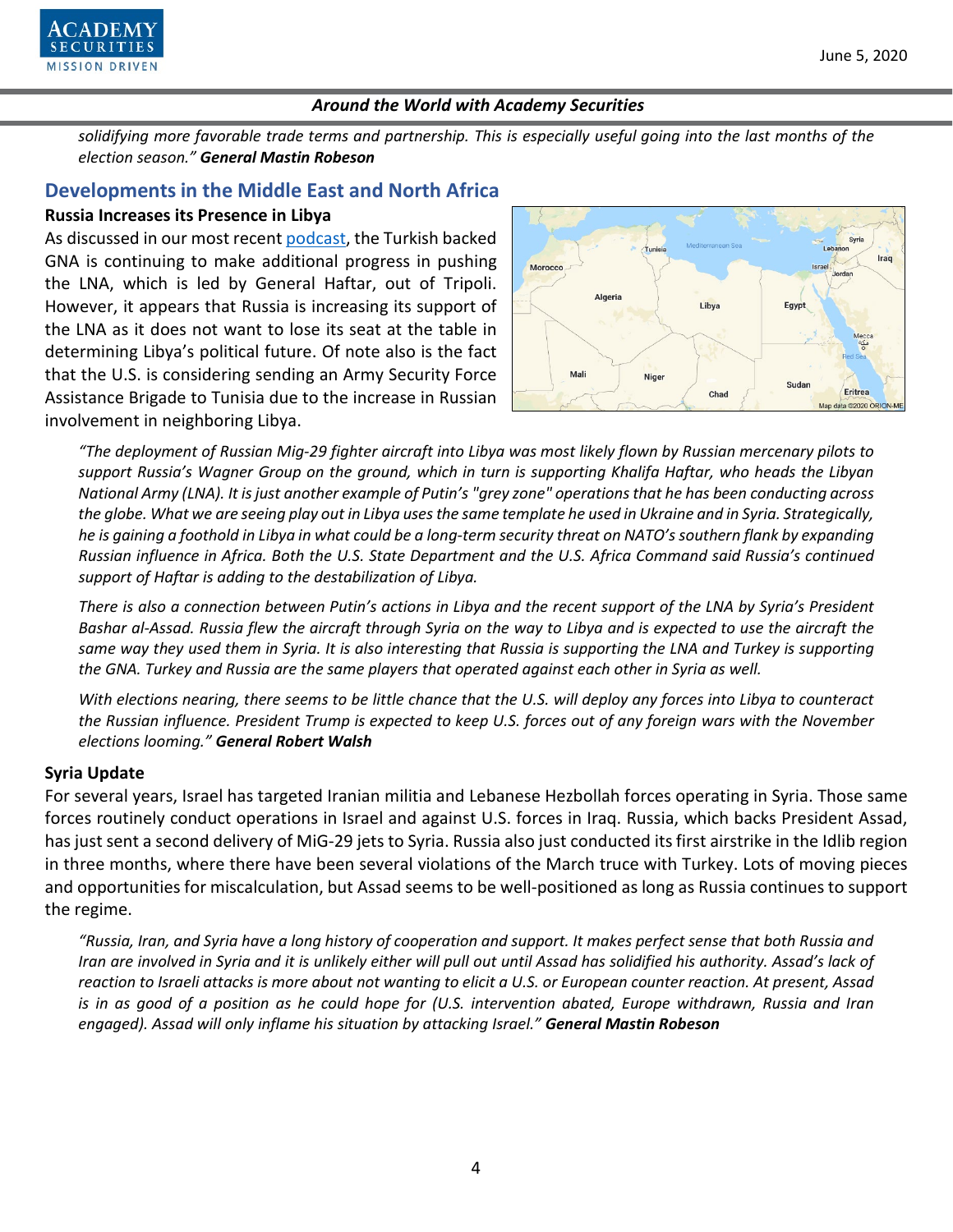

*solidifying more favorable trade terms and partnership. This is especially useful going into the last months of the election season." General Mastin Robeson*

# **Developments in the Middle East and North Africa**

### **Russia Increases its Presence in Libya**

As discussed in our most recent [podcast,](https://www.academysecurities.com/vol-33-oil-podcast/) the Turkish backed GNA is continuing to make additional progress in pushing the LNA, which is led by General Haftar, out of Tripoli. However, it appears that Russia is increasing its support of the LNA as it does not want to lose its seat at the table in determining Libya's political future. Of note also is the fact that the U.S. is considering sending an Army Security Force Assistance Brigade to Tunisia due to the increase in Russian involvement in neighboring Libya.



*"The deployment of Russian Mig-29 fighter aircraft into Libya was most likely flown by Russian mercenary pilots to support Russia's Wagner Group on the ground, which in turn is supporting Khalifa Haftar, who heads the Libyan National Army (LNA). It is just another example of Putin's "grey zone" operations that he has been conducting across the globe. What we are seeing play out in Libya uses the same template he used in Ukraine and in Syria. Strategically, he is gaining a foothold in Libya in what could be a long-term security threat on NATO's southern flank by expanding Russian influence in Africa. Both the U.S. State Department and the U.S. Africa Command said Russia's continued support of Haftar is adding to the destabilization of Libya.*

*There is also a connection between Putin's actions in Libya and the recent support of the LNA by Syria's President Bashar al-Assad. Russia flew the aircraft through Syria on the way to Libya and is expected to use the aircraft the same way they used them in Syria. It is also interesting that Russia is supporting the LNA and Turkey is supporting the GNA. Turkey and Russia are the same players that operated against each other in Syria as well.*

*With elections nearing, there seems to be little chance that the U.S. will deploy any forces into Libya to counteract the Russian influence. President Trump is expected to keep U.S. forces out of any foreign wars with the November elections looming." General Robert Walsh*

# **Syria Update**

For several years, Israel has targeted Iranian militia and Lebanese Hezbollah forces operating in Syria. Those same forces routinely conduct operations in Israel and against U.S. forces in Iraq. Russia, which backs President Assad, has just sent a second delivery of MiG-29 jets to Syria. Russia also just conducted its first airstrike in the Idlib region in three months, where there have been several violations of the March truce with Turkey. Lots of moving pieces and opportunities for miscalculation, but Assad seems to be well-positioned as long as Russia continues to support the regime.

*"Russia, Iran, and Syria have a long history of cooperation and support. It makes perfect sense that both Russia and Iran are involved in Syria and it is unlikely either will pull out until Assad has solidified his authority. Assad's lack of reaction to Israeli attacks is more about not wanting to elicit a U.S. or European counter reaction. At present, Assad is in as good of a position as he could hope for (U.S. intervention abated, Europe withdrawn, Russia and Iran engaged). Assad will only inflame his situation by attacking Israel." General Mastin Robeson*